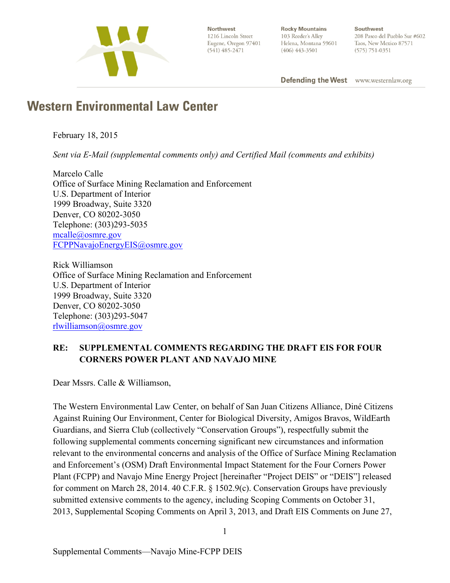

Northwest 1216 Lincoln Street Eugene, Oregon 97401  $(541)$  485-2471

**Rocky Mountains** 103 Reeder's Alley Helena, Montana 59601  $(406)$  443-3501

Southwest 208 Paseo del Pueblo Sur #602 Taos, New Mexico 87571  $(575) 751 - 0351$ 

**Defending the West** www.westernlaw.org

# **Western Environmental Law Center**

February 18, 2015

*Sent via E-Mail (supplemental comments only) and Certified Mail (comments and exhibits)* 

Marcelo Calle Office of Surface Mining Reclamation and Enforcement U.S. Department of Interior 1999 Broadway, Suite 3320 Denver, CO 80202-3050 Telephone: (303)293-5035 mcalle@osmre.gov FCPPNavajoEnergyEIS@osmre.gov

Rick Williamson Office of Surface Mining Reclamation and Enforcement U.S. Department of Interior 1999 Broadway, Suite 3320 Denver, CO 80202-3050 Telephone: (303)293-5047 rlwilliamson@osmre.gov

## **RE: SUPPLEMENTAL COMMENTS REGARDING THE DRAFT EIS FOR FOUR CORNERS POWER PLANT AND NAVAJO MINE**

Dear Mssrs. Calle & Williamson,

The Western Environmental Law Center, on behalf of San Juan Citizens Alliance, Diné Citizens Against Ruining Our Environment, Center for Biological Diversity, Amigos Bravos, WildEarth Guardians, and Sierra Club (collectively "Conservation Groups"), respectfully submit the following supplemental comments concerning significant new circumstances and information relevant to the environmental concerns and analysis of the Office of Surface Mining Reclamation and Enforcement's (OSM) Draft Environmental Impact Statement for the Four Corners Power Plant (FCPP) and Navajo Mine Energy Project [hereinafter "Project DEIS" or "DEIS"] released for comment on March 28, 2014. 40 C.F.R. § 1502.9(c). Conservation Groups have previously submitted extensive comments to the agency, including Scoping Comments on October 31, 2013, Supplemental Scoping Comments on April 3, 2013, and Draft EIS Comments on June 27,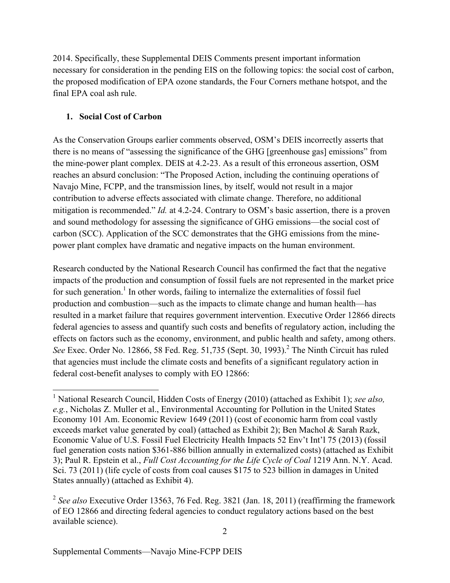2014. Specifically, these Supplemental DEIS Comments present important information necessary for consideration in the pending EIS on the following topics: the social cost of carbon, the proposed modification of EPA ozone standards, the Four Corners methane hotspot, and the final EPA coal ash rule.

## **1. Social Cost of Carbon**

As the Conservation Groups earlier comments observed, OSM's DEIS incorrectly asserts that there is no means of "assessing the significance of the GHG [greenhouse gas] emissions" from the mine-power plant complex. DEIS at 4.2-23. As a result of this erroneous assertion, OSM reaches an absurd conclusion: "The Proposed Action, including the continuing operations of Navajo Mine, FCPP, and the transmission lines, by itself, would not result in a major contribution to adverse effects associated with climate change. Therefore, no additional mitigation is recommended." *Id.* at 4.2-24. Contrary to OSM's basic assertion, there is a proven and sound methodology for assessing the significance of GHG emissions—the social cost of carbon (SCC). Application of the SCC demonstrates that the GHG emissions from the minepower plant complex have dramatic and negative impacts on the human environment.

Research conducted by the National Research Council has confirmed the fact that the negative impacts of the production and consumption of fossil fuels are not represented in the market price for such generation.<sup>1</sup> In other words, failing to internalize the externalities of fossil fuel production and combustion—such as the impacts to climate change and human health—has resulted in a market failure that requires government intervention. Executive Order 12866 directs federal agencies to assess and quantify such costs and benefits of regulatory action, including the effects on factors such as the economy, environment, and public health and safety, among others. *See* Exec. Order No. 12866, 58 Fed. Reg. 51,735 (Sept. 30, 1993).<sup>2</sup> The Ninth Circuit has ruled that agencies must include the climate costs and benefits of a significant regulatory action in federal cost-benefit analyses to comply with EO 12866:

 <sup>1</sup> National Research Council, Hidden Costs of Energy (2010) (attached as Exhibit 1); *see also, e.g.*, Nicholas Z. Muller et al., Environmental Accounting for Pollution in the United States Economy 101 Am. Economic Review 1649 (2011) (cost of economic harm from coal vastly exceeds market value generated by coal) (attached as Exhibit 2); Ben Machol & Sarah Razk, Economic Value of U.S. Fossil Fuel Electricity Health Impacts 52 Env't Int'l 75 (2013) (fossil fuel generation costs nation \$361-886 billion annually in externalized costs) (attached as Exhibit 3); Paul R. Epstein et al., *Full Cost Accounting for the Life Cycle of Coal* 1219 Ann. N.Y. Acad. Sci. 73 (2011) (life cycle of costs from coal causes \$175 to 523 billion in damages in United States annually) (attached as Exhibit 4).

<sup>&</sup>lt;sup>2</sup> See also Executive Order 13563, 76 Fed. Reg. 3821 (Jan. 18, 2011) (reaffirming the framework of EO 12866 and directing federal agencies to conduct regulatory actions based on the best available science).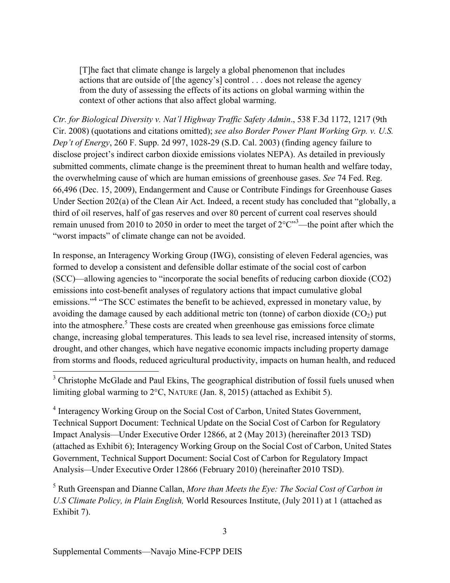[T]he fact that climate change is largely a global phenomenon that includes actions that are outside of [the agency's] control . . . does not release the agency from the duty of assessing the effects of its actions on global warming within the context of other actions that also affect global warming.

*Ctr. for Biological Diversity v. Nat'l Highway Traffic Safety Admin*., 538 F.3d 1172, 1217 (9th Cir. 2008) (quotations and citations omitted); *see also Border Power Plant Working Grp. v. U.S. Dep't of Energy*, 260 F. Supp. 2d 997, 1028-29 (S.D. Cal. 2003) (finding agency failure to disclose project's indirect carbon dioxide emissions violates NEPA). As detailed in previously submitted comments, climate change is the preeminent threat to human health and welfare today, the overwhelming cause of which are human emissions of greenhouse gases. *See* 74 Fed. Reg. 66,496 (Dec. 15, 2009), Endangerment and Cause or Contribute Findings for Greenhouse Gases Under Section 202(a) of the Clean Air Act. Indeed, a recent study has concluded that "globally, a third of oil reserves, half of gas reserves and over 80 percent of current coal reserves should remain unused from 2010 to 2050 in order to meet the target of  $2^{\circ}C^{\prime\prime}^3$ —the point after which the "worst impacts" of climate change can not be avoided.

In response, an Interagency Working Group (IWG), consisting of eleven Federal agencies, was formed to develop a consistent and defensible dollar estimate of the social cost of carbon (SCC)—allowing agencies to "incorporate the social benefits of reducing carbon dioxide (CO2) emissions into cost-benefit analyses of regulatory actions that impact cumulative global emissions."<sup>4</sup> "The SCC estimates the benefit to be achieved, expressed in monetary value, by avoiding the damage caused by each additional metric ton (tonne) of carbon dioxide  $(CO_2)$  put into the atmosphere.<sup>5</sup> These costs are created when greenhouse gas emissions force climate change, increasing global temperatures. This leads to sea level rise, increased intensity of storms, drought, and other changes, which have negative economic impacts including property damage from storms and floods, reduced agricultural productivity, impacts on human health, and reduced

<sup>4</sup> Interagency Working Group on the Social Cost of Carbon, United States Government, Technical Support Document: Technical Update on the Social Cost of Carbon for Regulatory Impact Analysis—Under Executive Order 12866, at 2 (May 2013) (hereinafter 2013 TSD) (attached as Exhibit 6); Interagency Working Group on the Social Cost of Carbon, United States Government, Technical Support Document: Social Cost of Carbon for Regulatory Impact Analysis*—*Under Executive Order 12866 (February 2010) (hereinafter 2010 TSD).

<sup>5</sup> Ruth Greenspan and Dianne Callan, *More than Meets the Eye: The Social Cost of Carbon in U.S Climate Policy, in Plain English,* World Resources Institute, (July 2011) at 1 (attached as Exhibit 7).

<sup>&</sup>lt;sup>3</sup> Christophe McGlade and Paul Ekins, The geographical distribution of fossil fuels unused when limiting global warming to 2°C, NATURE (Jan. 8, 2015) (attached as Exhibit 5).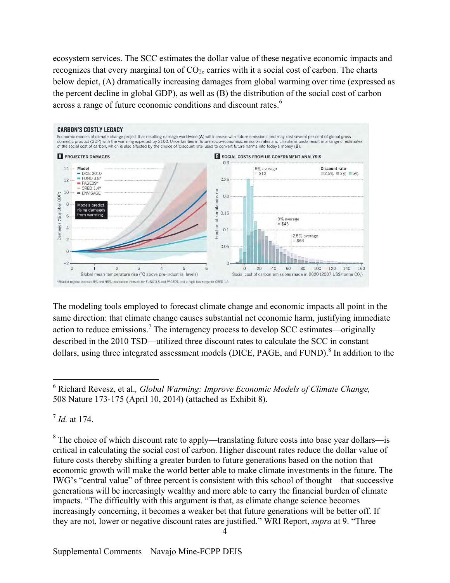ecosystem services. The SCC estimates the dollar value of these negative economic impacts and recognizes that every marginal ton of  $CO<sub>2e</sub>$  carries with it a social cost of carbon. The charts below depict, (A) dramatically increasing damages from global warming over time (expressed as the percent decline in global GDP), as well as (B) the distribution of the social cost of carbon across a range of future economic conditions and discount rates.<sup>6</sup>



The modeling tools employed to forecast climate change and economic impacts all point in the same direction: that climate change causes substantial net economic harm, justifying immediate action to reduce emissions.<sup>7</sup> The interagency process to develop SCC estimates—originally described in the 2010 TSD—utilized three discount rates to calculate the SCC in constant dollars, using three integrated assessment models (DICE, PAGE, and FUND).<sup>8</sup> In addition to the

<sup>7</sup> *Id.* at 174.

 $8\text{ The choice of which discount rate to apply—translating future costs into base year dollars—is}$ critical in calculating the social cost of carbon. Higher discount rates reduce the dollar value of future costs thereby shifting a greater burden to future generations based on the notion that economic growth will make the world better able to make climate investments in the future. The IWG's "central value" of three percent is consistent with this school of thought—that successive generations will be increasingly wealthy and more able to carry the financial burden of climate impacts. "The difficultly with this argument is that, as climate change science becomes increasingly concerning, it becomes a weaker bet that future generations will be better off. If they are not, lower or negative discount rates are justified." WRI Report, *supra* at 9. "Three

 <sup>6</sup> Richard Revesz, et al.*, Global Warming: Improve Economic Models of Climate Change,* 508 Nature 173-175 (April 10, 2014) (attached as Exhibit 8).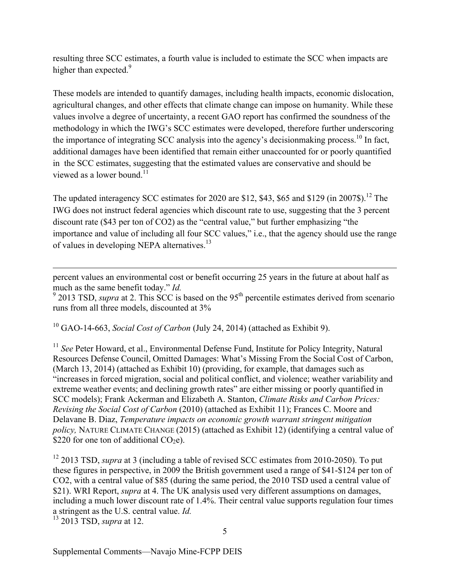resulting three SCC estimates, a fourth value is included to estimate the SCC when impacts are higher than expected.<sup>9</sup>

These models are intended to quantify damages, including health impacts, economic dislocation, agricultural changes, and other effects that climate change can impose on humanity. While these values involve a degree of uncertainty, a recent GAO report has confirmed the soundness of the methodology in which the IWG's SCC estimates were developed, therefore further underscoring the importance of integrating SCC analysis into the agency's decisionmaking process.<sup>10</sup> In fact, additional damages have been identified that remain either unaccounted for or poorly quantified in the SCC estimates, suggesting that the estimated values are conservative and should be viewed as a lower bound. $11$ 

The updated interagency SCC estimates for 2020 are \$12, \$43, \$65 and \$129 (in 2007\$).<sup>12</sup> The IWG does not instruct federal agencies which discount rate to use, suggesting that the 3 percent discount rate (\$43 per ton of CO2) as the "central value," but further emphasizing "the importance and value of including all four SCC values," i.e., that the agency should use the range of values in developing NEPA alternatives.13

percent values an environmental cost or benefit occurring 25 years in the future at about half as much as the same benefit today." *Id.*

 $9$  2013 TSD, *supra* at 2. This SCC is based on the 95<sup>th</sup> percentile estimates derived from scenario runs from all three models, discounted at 3%

<sup>10</sup> GAO-14-663, *Social Cost of Carbon* (July 24, 2014) (attached as Exhibit 9).

<sup>11</sup> *See* Peter Howard, et al., Environmental Defense Fund, Institute for Policy Integrity, Natural Resources Defense Council, Omitted Damages: What's Missing From the Social Cost of Carbon, (March 13, 2014) (attached as Exhibit 10) (providing, for example, that damages such as "increases in forced migration, social and political conflict, and violence; weather variability and extreme weather events; and declining growth rates" are either missing or poorly quantified in SCC models); Frank Ackerman and Elizabeth A. Stanton, *Climate Risks and Carbon Prices: Revising the Social Cost of Carbon* (2010) (attached as Exhibit 11); Frances C. Moore and Delavane B. Diaz, *Temperature impacts on economic growth warrant stringent mitigation policy,* NATURE CLIMATE CHANGE (2015) (attached as Exhibit 12) (identifying a central value of \$220 for one ton of additional  $CO<sub>2</sub>e$ ).

<sup>12</sup> 2013 TSD, *supra* at 3 (including a table of revised SCC estimates from 2010-2050). To put these figures in perspective, in 2009 the British government used a range of \$41-\$124 per ton of CO2, with a central value of \$85 (during the same period, the 2010 TSD used a central value of \$21). WRI Report, *supra* at 4. The UK analysis used very different assumptions on damages, including a much lower discount rate of 1.4%. Their central value supports regulation four times a stringent as the U.S. central value. *Id.*

<sup>13</sup> 2013 TSD, *supra* at 12.

 $\overline{a}$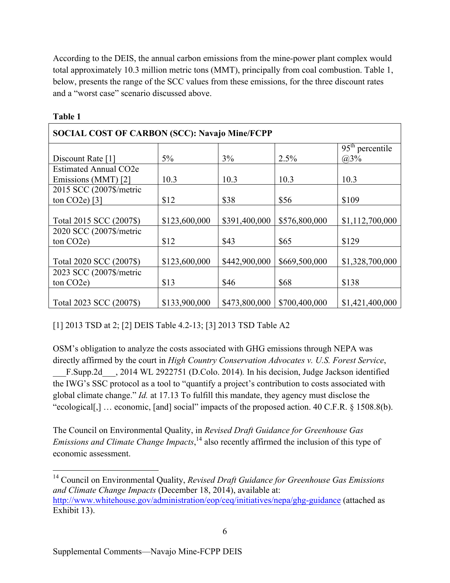According to the DEIS, the annual carbon emissions from the mine-power plant complex would total approximately 10.3 million metric tons (MMT), principally from coal combustion. Table 1, below, presents the range of the SCC values from these emissions, for the three discount rates and a "worst case" scenario discussed above.

| <b>SOCIAL COST OF CARBON (SCC): Navajo Mine/FCPP</b> |               |               |               |                   |
|------------------------------------------------------|---------------|---------------|---------------|-------------------|
|                                                      |               |               |               | $95th$ percentile |
| Discount Rate [1]                                    | $5\%$         | 3%            | 2.5%          | (a)3%             |
| <b>Estimated Annual CO2e</b>                         |               |               |               |                   |
| Emissions (MMT) [2]                                  | 10.3          | 10.3          | 10.3          | 10.3              |
| 2015 SCC (2007\$/metric                              |               |               |               |                   |
| ton $CO2e$ $[3]$                                     | \$12          | \$38          | \$56          | \$109             |
|                                                      |               |               |               |                   |
| Total 2015 SCC (2007\$)                              | \$123,600,000 | \$391,400,000 | \$576,800,000 | \$1,112,700,000   |
| 2020 SCC (2007\$/metric                              |               |               |               |                   |
| ton CO <sub>2</sub> e)                               | \$12          | \$43          | \$65          | \$129             |
|                                                      |               |               |               |                   |
| Total 2020 SCC (2007\$)                              | \$123,600,000 | \$442,900,000 | \$669,500,000 | \$1,328,700,000   |
| 2023 SCC (2007\$/metric                              |               |               |               |                   |
| ton CO <sub>2</sub> e)                               | \$13          | \$46          | \$68          | \$138             |
|                                                      |               |               |               |                   |
| Total 2023 SCC (2007\$)                              | \$133,900,000 | \$473,800,000 | \$700,400,000 | \$1,421,400,000   |

#### **Table 1**

[1] 2013 TSD at 2; [2] DEIS Table 4.2-13; [3] 2013 TSD Table A2

OSM's obligation to analyze the costs associated with GHG emissions through NEPA was directly affirmed by the court in *High Country Conservation Advocates v. U.S. Forest Service*, \_\_\_F.Supp.2d\_\_\_, 2014 WL 2922751 (D.Colo. 2014)*.* In his decision, Judge Jackson identified the IWG's SSC protocol as a tool to "quantify a project's contribution to costs associated with global climate change." *Id.* at 17.13 To fulfill this mandate, they agency must disclose the "ecological[,] … economic, [and] social" impacts of the proposed action. 40 C.F.R. § 1508.8(b).

The Council on Environmental Quality, in *Revised Draft Guidance for Greenhouse Gas Emissions and Climate Change Impacts*, <sup>14</sup> also recently affirmed the inclusion of this type of economic assessment.

 14 Council on Environmental Quality, *Revised Draft Guidance for Greenhouse Gas Emissions and Climate Change Impacts* (December 18, 2014), available at: http://www.whitehouse.gov/administration/eop/ceq/initiatives/nepa/ghg-guidance (attached as Exhibit 13).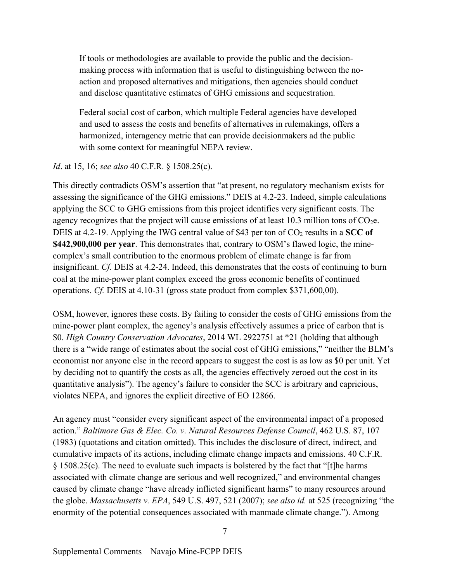If tools or methodologies are available to provide the public and the decisionmaking process with information that is useful to distinguishing between the noaction and proposed alternatives and mitigations, then agencies should conduct and disclose quantitative estimates of GHG emissions and sequestration.

Federal social cost of carbon, which multiple Federal agencies have developed and used to assess the costs and benefits of alternatives in rulemakings, offers a harmonized, interagency metric that can provide decisionmakers ad the public with some context for meaningful NEPA review.

#### *Id*. at 15, 16; *see also* 40 C.F.R. § 1508.25(c).

This directly contradicts OSM's assertion that "at present, no regulatory mechanism exists for assessing the significance of the GHG emissions." DEIS at 4.2-23. Indeed, simple calculations applying the SCC to GHG emissions from this project identifies very significant costs. The agency recognizes that the project will cause emissions of at least 10.3 million tons of  $CO<sub>2</sub>e$ . DEIS at 4.2-19. Applying the IWG central value of \$43 per ton of  $CO<sub>2</sub>$  results in a SCC of **\$442,900,000 per year**. This demonstrates that, contrary to OSM's flawed logic, the minecomplex's small contribution to the enormous problem of climate change is far from insignificant. *Cf.* DEIS at 4.2-24. Indeed, this demonstrates that the costs of continuing to burn coal at the mine-power plant complex exceed the gross economic benefits of continued operations. *Cf.* DEIS at 4.10-31 (gross state product from complex \$371,600,00).

OSM, however, ignores these costs. By failing to consider the costs of GHG emissions from the mine-power plant complex, the agency's analysis effectively assumes a price of carbon that is \$0. *High Country Conservation Advocates*, 2014 WL 2922751 at \*21 (holding that although there is a "wide range of estimates about the social cost of GHG emissions," "neither the BLM's economist nor anyone else in the record appears to suggest the cost is as low as \$0 per unit. Yet by deciding not to quantify the costs as all, the agencies effectively zeroed out the cost in its quantitative analysis"). The agency's failure to consider the SCC is arbitrary and capricious, violates NEPA, and ignores the explicit directive of EO 12866.

An agency must "consider every significant aspect of the environmental impact of a proposed action." *Baltimore Gas & Elec. Co. v. Natural Resources Defense Council*, 462 U.S. 87, 107 (1983) (quotations and citation omitted). This includes the disclosure of direct, indirect, and cumulative impacts of its actions, including climate change impacts and emissions. 40 C.F.R. § 1508.25(c). The need to evaluate such impacts is bolstered by the fact that "[t]he harms associated with climate change are serious and well recognized," and environmental changes caused by climate change "have already inflicted significant harms" to many resources around the globe. *Massachusetts v. EPA*, 549 U.S. 497, 521 (2007); *see also id.* at 525 (recognizing "the enormity of the potential consequences associated with manmade climate change."). Among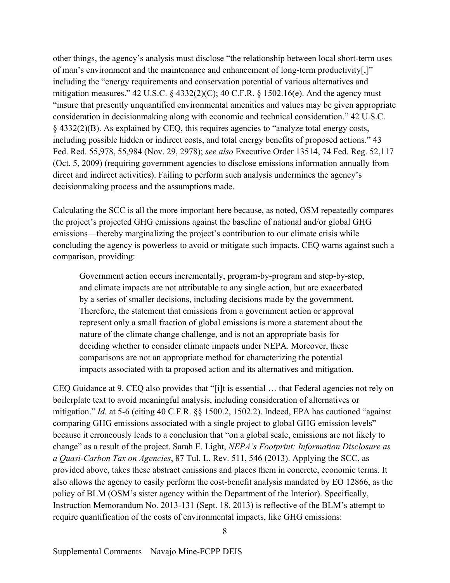other things, the agency's analysis must disclose "the relationship between local short-term uses of man's environment and the maintenance and enhancement of long-term productivity[,]" including the "energy requirements and conservation potential of various alternatives and mitigation measures." 42 U.S.C. § 4332(2)(C); 40 C.F.R. § 1502.16(e). And the agency must "insure that presently unquantified environmental amenities and values may be given appropriate consideration in decisionmaking along with economic and technical consideration." 42 U.S.C. § 4332(2)(B). As explained by CEQ, this requires agencies to "analyze total energy costs, including possible hidden or indirect costs, and total energy benefits of proposed actions." 43 Fed. Red. 55,978, 55,984 (Nov. 29, 2978); *see also* Executive Order 13514, 74 Fed. Reg. 52,117 (Oct. 5, 2009) (requiring government agencies to disclose emissions information annually from direct and indirect activities). Failing to perform such analysis undermines the agency's decisionmaking process and the assumptions made.

Calculating the SCC is all the more important here because, as noted, OSM repeatedly compares the project's projected GHG emissions against the baseline of national and/or global GHG emissions—thereby marginalizing the project's contribution to our climate crisis while concluding the agency is powerless to avoid or mitigate such impacts. CEQ warns against such a comparison, providing:

Government action occurs incrementally, program-by-program and step-by-step, and climate impacts are not attributable to any single action, but are exacerbated by a series of smaller decisions, including decisions made by the government. Therefore, the statement that emissions from a government action or approval represent only a small fraction of global emissions is more a statement about the nature of the climate change challenge, and is not an appropriate basis for deciding whether to consider climate impacts under NEPA. Moreover, these comparisons are not an appropriate method for characterizing the potential impacts associated with ta proposed action and its alternatives and mitigation.

CEQ Guidance at 9. CEQ also provides that "[i]t is essential … that Federal agencies not rely on boilerplate text to avoid meaningful analysis, including consideration of alternatives or mitigation." *Id.* at 5-6 (citing 40 C.F.R. §§ 1500.2, 1502.2). Indeed, EPA has cautioned "against comparing GHG emissions associated with a single project to global GHG emission levels" because it erroneously leads to a conclusion that "on a global scale, emissions are not likely to change" as a result of the project. Sarah E. Light, *NEPA's Footprint: Information Disclosure as a Quasi-Carbon Tax on Agencies*, 87 Tul. L. Rev. 511, 546 (2013). Applying the SCC, as provided above, takes these abstract emissions and places them in concrete, economic terms. It also allows the agency to easily perform the cost-benefit analysis mandated by EO 12866, as the policy of BLM (OSM's sister agency within the Department of the Interior). Specifically, Instruction Memorandum No. 2013-131 (Sept. 18, 2013) is reflective of the BLM's attempt to require quantification of the costs of environmental impacts, like GHG emissions:

Supplemental Comments—Navajo Mine-FCPP DEIS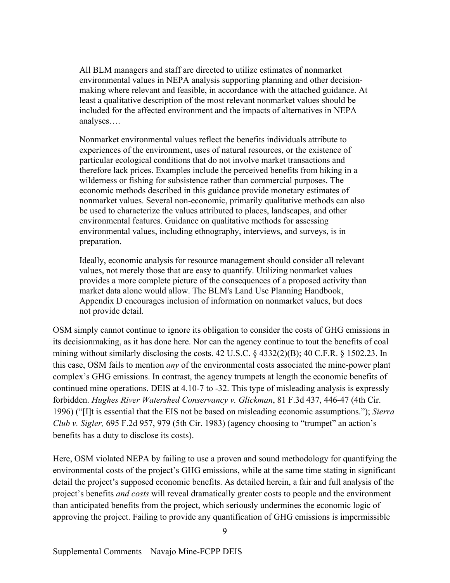All BLM managers and staff are directed to utilize estimates of nonmarket environmental values in NEPA analysis supporting planning and other decisionmaking where relevant and feasible, in accordance with the attached guidance. At least a qualitative description of the most relevant nonmarket values should be included for the affected environment and the impacts of alternatives in NEPA analyses….

Nonmarket environmental values reflect the benefits individuals attribute to experiences of the environment, uses of natural resources, or the existence of particular ecological conditions that do not involve market transactions and therefore lack prices. Examples include the perceived benefits from hiking in a wilderness or fishing for subsistence rather than commercial purposes. The economic methods described in this guidance provide monetary estimates of nonmarket values. Several non-economic, primarily qualitative methods can also be used to characterize the values attributed to places, landscapes, and other environmental features. Guidance on qualitative methods for assessing environmental values, including ethnography, interviews, and surveys, is in preparation.

Ideally, economic analysis for resource management should consider all relevant values, not merely those that are easy to quantify. Utilizing nonmarket values provides a more complete picture of the consequences of a proposed activity than market data alone would allow. The BLM's Land Use Planning Handbook, Appendix D encourages inclusion of information on nonmarket values, but does not provide detail.

OSM simply cannot continue to ignore its obligation to consider the costs of GHG emissions in its decisionmaking, as it has done here. Nor can the agency continue to tout the benefits of coal mining without similarly disclosing the costs. 42 U.S.C. § 4332(2)(B); 40 C.F.R. § 1502.23. In this case, OSM fails to mention *any* of the environmental costs associated the mine-power plant complex's GHG emissions. In contrast, the agency trumpets at length the economic benefits of continued mine operations. DEIS at 4.10-7 to -32. This type of misleading analysis is expressly forbidden. *Hughes River Watershed Conservancy v. Glickman*, 81 F.3d 437, 446-47 (4th Cir. 1996) ("[I]t is essential that the EIS not be based on misleading economic assumptions."); *Sierra Club v. Sigler,* 695 F.2d 957, 979 (5th Cir. 1983) (agency choosing to "trumpet" an action's benefits has a duty to disclose its costs).

Here, OSM violated NEPA by failing to use a proven and sound methodology for quantifying the environmental costs of the project's GHG emissions, while at the same time stating in significant detail the project's supposed economic benefits. As detailed herein, a fair and full analysis of the project's benefits *and costs* will reveal dramatically greater costs to people and the environment than anticipated benefits from the project, which seriously undermines the economic logic of approving the project. Failing to provide any quantification of GHG emissions is impermissible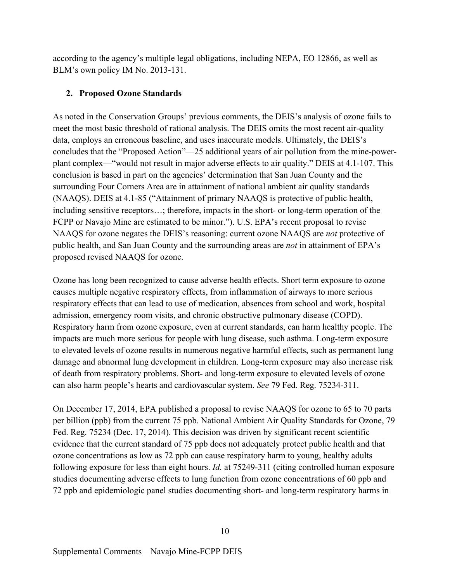according to the agency's multiple legal obligations, including NEPA, EO 12866, as well as BLM's own policy IM No. 2013-131.

### **2. Proposed Ozone Standards**

As noted in the Conservation Groups' previous comments, the DEIS's analysis of ozone fails to meet the most basic threshold of rational analysis. The DEIS omits the most recent air-quality data, employs an erroneous baseline, and uses inaccurate models. Ultimately, the DEIS's concludes that the "Proposed Action"—25 additional years of air pollution from the mine-powerplant complex—"would not result in major adverse effects to air quality." DEIS at 4.1-107. This conclusion is based in part on the agencies' determination that San Juan County and the surrounding Four Corners Area are in attainment of national ambient air quality standards (NAAQS). DEIS at 4.1-85 ("Attainment of primary NAAQS is protective of public health, including sensitive receptors…; therefore, impacts in the short- or long-term operation of the FCPP or Navajo Mine are estimated to be minor."). U.S. EPA's recent proposal to revise NAAQS for ozone negates the DEIS's reasoning: current ozone NAAQS are *not* protective of public health, and San Juan County and the surrounding areas are *not* in attainment of EPA's proposed revised NAAQS for ozone.

Ozone has long been recognized to cause adverse health effects. Short term exposure to ozone causes multiple negative respiratory effects, from inflammation of airways to more serious respiratory effects that can lead to use of medication, absences from school and work, hospital admission, emergency room visits, and chronic obstructive pulmonary disease (COPD). Respiratory harm from ozone exposure, even at current standards, can harm healthy people. The impacts are much more serious for people with lung disease, such asthma. Long-term exposure to elevated levels of ozone results in numerous negative harmful effects, such as permanent lung damage and abnormal lung development in children. Long-term exposure may also increase risk of death from respiratory problems. Short- and long-term exposure to elevated levels of ozone can also harm people's hearts and cardiovascular system. *See* 79 Fed. Reg. 75234-311.

On December 17, 2014, EPA published a proposal to revise NAAQS for ozone to 65 to 70 parts per billion (ppb) from the current 75 ppb. National Ambient Air Quality Standards for Ozone, 79 Fed. Reg. 75234 (Dec. 17, 2014). This decision was driven by significant recent scientific evidence that the current standard of 75 ppb does not adequately protect public health and that ozone concentrations as low as 72 ppb can cause respiratory harm to young, healthy adults following exposure for less than eight hours. *Id.* at 75249-311 (citing controlled human exposure studies documenting adverse effects to lung function from ozone concentrations of 60 ppb and 72 ppb and epidemiologic panel studies documenting short- and long-term respiratory harms in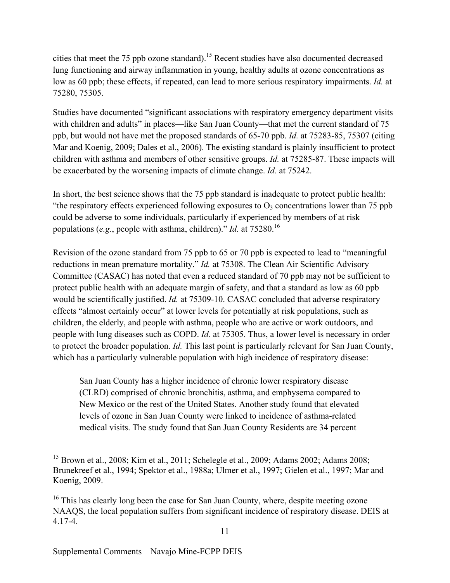cities that meet the 75 ppb ozone standard).<sup>15</sup> Recent studies have also documented decreased lung functioning and airway inflammation in young, healthy adults at ozone concentrations as low as 60 ppb; these effects, if repeated, can lead to more serious respiratory impairments. *Id.* at 75280, 75305.

Studies have documented "significant associations with respiratory emergency department visits with children and adults" in places—like San Juan County—that met the current standard of 75 ppb, but would not have met the proposed standards of 65-70 ppb. *Id.* at 75283-85, 75307 (citing Mar and Koenig, 2009; Dales et al., 2006). The existing standard is plainly insufficient to protect children with asthma and members of other sensitive groups. *Id.* at 75285-87. These impacts will be exacerbated by the worsening impacts of climate change. *Id.* at 75242.

In short, the best science shows that the 75 ppb standard is inadequate to protect public health: "the respiratory effects experienced following exposures to  $O_3$  concentrations lower than 75 ppb could be adverse to some individuals, particularly if experienced by members of at risk populations (*e.g.*, people with asthma, children)." *Id.* at 75280.<sup>16</sup>

Revision of the ozone standard from 75 ppb to 65 or 70 ppb is expected to lead to "meaningful reductions in mean premature mortality." *Id.* at 75308. The Clean Air Scientific Advisory Committee (CASAC) has noted that even a reduced standard of 70 ppb may not be sufficient to protect public health with an adequate margin of safety, and that a standard as low as 60 ppb would be scientifically justified. *Id.* at 75309-10. CASAC concluded that adverse respiratory effects "almost certainly occur" at lower levels for potentially at risk populations, such as children, the elderly, and people with asthma, people who are active or work outdoors, and people with lung diseases such as COPD. *Id.* at 75305. Thus, a lower level is necessary in order to protect the broader population. *Id.* This last point is particularly relevant for San Juan County, which has a particularly vulnerable population with high incidence of respiratory disease:

San Juan County has a higher incidence of chronic lower respiratory disease (CLRD) comprised of chronic bronchitis, asthma, and emphysema compared to New Mexico or the rest of the United States. Another study found that elevated levels of ozone in San Juan County were linked to incidence of asthma-related medical visits. The study found that San Juan County Residents are 34 percent

 <sup>15</sup> Brown et al., 2008; Kim et al., 2011; Schelegle et al., 2009; Adams 2002; Adams 2008; Brunekreef et al., 1994; Spektor et al., 1988a; Ulmer et al., 1997; Gielen et al., 1997; Mar and Koenig, 2009.

 $16$  This has clearly long been the case for San Juan County, where, despite meeting ozone NAAQS, the local population suffers from significant incidence of respiratory disease. DEIS at 4.17-4.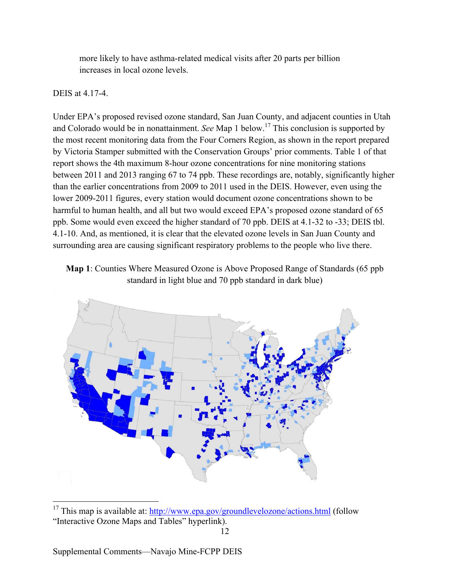more likely to have asthma-related medical visits after 20 parts per billion increases in local ozone levels.

## DEIS at 4.17-4.

Under EPA's proposed revised ozone standard, San Juan County, and adjacent counties in Utah and Colorado would be in nonattainment. *See* Map 1 below.17 This conclusion is supported by the most recent monitoring data from the Four Corners Region, as shown in the report prepared by Victoria Stamper submitted with the Conservation Groups' prior comments. Table 1 of that report shows the 4th maximum 8-hour ozone concentrations for nine monitoring stations between 2011 and 2013 ranging 67 to 74 ppb. These recordings are, notably, significantly higher than the earlier concentrations from 2009 to 2011 used in the DEIS. However, even using the lower 2009-2011 figures, every station would document ozone concentrations shown to be harmful to human health, and all but two would exceed EPA's proposed ozone standard of 65 ppb. Some would even exceed the higher standard of 70 ppb. DEIS at 4.1-32 to -33; DEIS tbl. 4.1-10. And, as mentioned, it is clear that the elevated ozone levels in San Juan County and surrounding area are causing significant respiratory problems to the people who live there.





<sup>&</sup>lt;sup>17</sup> This map is available at: http://www.epa.gov/groundlevelozone/actions.html (follow "Interactive Ozone Maps and Tables" hyperlink).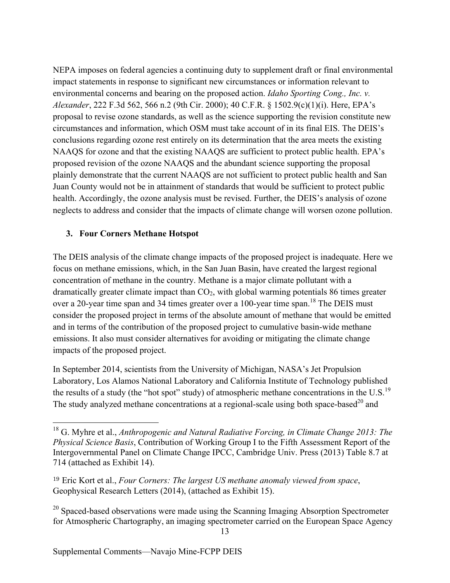NEPA imposes on federal agencies a continuing duty to supplement draft or final environmental impact statements in response to significant new circumstances or information relevant to environmental concerns and bearing on the proposed action. *Idaho Sporting Cong., Inc. v. Alexander*, 222 F.3d 562, 566 n.2 (9th Cir. 2000); 40 C.F.R. § 1502.9(c)(1)(i). Here, EPA's proposal to revise ozone standards, as well as the science supporting the revision constitute new circumstances and information, which OSM must take account of in its final EIS. The DEIS's conclusions regarding ozone rest entirely on its determination that the area meets the existing NAAQS for ozone and that the existing NAAQS are sufficient to protect public health. EPA's proposed revision of the ozone NAAQS and the abundant science supporting the proposal plainly demonstrate that the current NAAQS are not sufficient to protect public health and San Juan County would not be in attainment of standards that would be sufficient to protect public health. Accordingly, the ozone analysis must be revised. Further, the DEIS's analysis of ozone neglects to address and consider that the impacts of climate change will worsen ozone pollution.

#### **3. Four Corners Methane Hotspot**

The DEIS analysis of the climate change impacts of the proposed project is inadequate. Here we focus on methane emissions, which, in the San Juan Basin, have created the largest regional concentration of methane in the country. Methane is a major climate pollutant with a dramatically greater climate impact than  $CO<sub>2</sub>$ , with global warming potentials 86 times greater over a 20-year time span and 34 times greater over a 100-year time span.<sup>18</sup> The DEIS must consider the proposed project in terms of the absolute amount of methane that would be emitted and in terms of the contribution of the proposed project to cumulative basin-wide methane emissions. It also must consider alternatives for avoiding or mitigating the climate change impacts of the proposed project.

In September 2014, scientists from the University of Michigan, NASA's Jet Propulsion Laboratory, Los Alamos National Laboratory and California Institute of Technology published the results of a study (the "hot spot" study) of atmospheric methane concentrations in the U.S.<sup>19</sup> The study analyzed methane concentrations at a regional-scale using both space-based<sup>20</sup> and

 <sup>18</sup> G. Myhre et al., *Anthropogenic and Natural Radiative Forcing, in Climate Change 2013: The Physical Science Basis*, Contribution of Working Group I to the Fifth Assessment Report of the Intergovernmental Panel on Climate Change IPCC, Cambridge Univ. Press (2013) Table 8.7 at 714 (attached as Exhibit 14).

<sup>19</sup> Eric Kort et al., *Four Corners: The largest US methane anomaly viewed from space*, Geophysical Research Letters (2014), (attached as Exhibit 15).

 $20$  Spaced-based observations were made using the Scanning Imaging Absorption Spectrometer for Atmospheric Chartography, an imaging spectrometer carried on the European Space Agency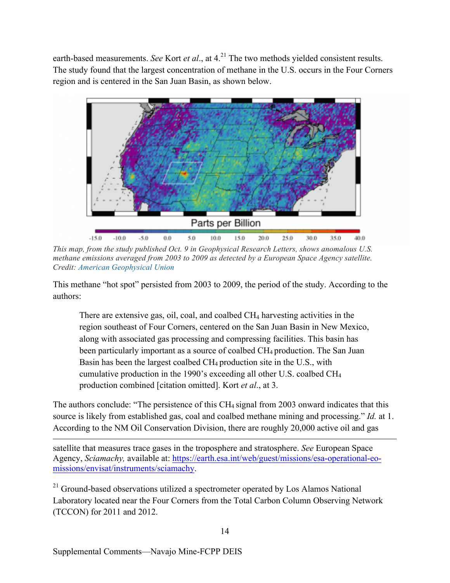earth-based measurements. *See* Kort *et al.*, at 4.<sup>21</sup> The two methods yielded consistent results. The study found that the largest concentration of methane in the U.S. occurs in the Four Corners region and is centered in the San Juan Basin, as shown below.



*This map, from the study published Oct. 9 in Geophysical Research Letters, shows anomalous U.S. methane emissions averaged from 2003 to 2009 as detected by a European Space Agency satellite. Credit: American Geophysical Union*

This methane "hot spot" persisted from 2003 to 2009, the period of the study. According to the authors:

There are extensive gas, oil, coal, and coalbed CH<sub>4</sub> harvesting activities in the region southeast of Four Corners, centered on the San Juan Basin in New Mexico, along with associated gas processing and compressing facilities. This basin has been particularly important as a source of coalbed CH<sub>4</sub> production. The San Juan Basin has been the largest coalbed  $CH_4$  production site in the U.S., with cumulative production in the 1990's exceeding all other U.S. coalbed CH4 production combined [citation omitted]. Kort *et al*., at 3.

The authors conclude: "The persistence of this CH<sub>4</sub> signal from 2003 onward indicates that this source is likely from established gas, coal and coalbed methane mining and processing." *Id.* at 1. According to the NM Oil Conservation Division, there are roughly 20,000 active oil and gas

satellite that measures trace gases in the troposphere and stratosphere. *See* European Space Agency, *Sciamachy,* available at: https://earth.esa.int/web/guest/missions/esa-operational-eomissions/envisat/instruments/sciamachy.

<sup>21</sup> Ground-based observations utilized a spectrometer operated by Los Alamos National Laboratory located near the Four Corners from the Total Carbon Column Observing Network (TCCON) for 2011 and 2012.

 $\overline{a}$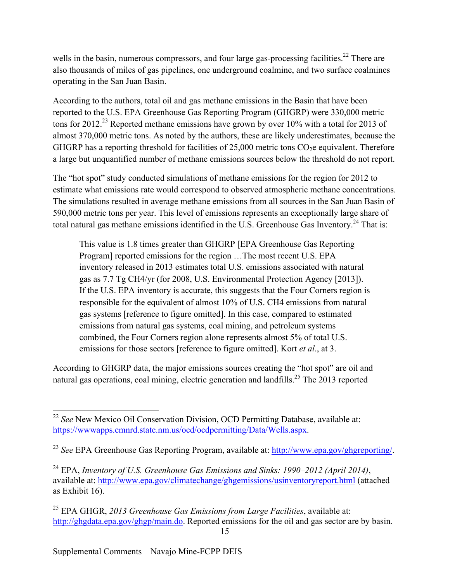wells in the basin, numerous compressors, and four large gas-processing facilities.<sup>22</sup> There are also thousands of miles of gas pipelines, one underground coalmine, and two surface coalmines operating in the San Juan Basin.

According to the authors, total oil and gas methane emissions in the Basin that have been reported to the U.S. EPA Greenhouse Gas Reporting Program (GHGRP) were 330,000 metric tons for 2012.<sup>23</sup> Reported methane emissions have grown by over 10% with a total for 2013 of almost 370,000 metric tons. As noted by the authors, these are likely underestimates, because the GHGRP has a reporting threshold for facilities of  $25,000$  metric tons  $CO<sub>2</sub>e$  equivalent. Therefore a large but unquantified number of methane emissions sources below the threshold do not report.

The "hot spot" study conducted simulations of methane emissions for the region for 2012 to estimate what emissions rate would correspond to observed atmospheric methane concentrations. The simulations resulted in average methane emissions from all sources in the San Juan Basin of 590,000 metric tons per year. This level of emissions represents an exceptionally large share of total natural gas methane emissions identified in the U.S. Greenhouse Gas Inventory.<sup>24</sup> That is:

This value is 1.8 times greater than GHGRP [EPA Greenhouse Gas Reporting Program] reported emissions for the region …The most recent U.S. EPA inventory released in 2013 estimates total U.S. emissions associated with natural gas as 7.7 Tg CH4/yr (for 2008, U.S. Environmental Protection Agency [2013]). If the U.S. EPA inventory is accurate, this suggests that the Four Corners region is responsible for the equivalent of almost 10% of U.S. CH4 emissions from natural gas systems [reference to figure omitted]. In this case, compared to estimated emissions from natural gas systems, coal mining, and petroleum systems combined, the Four Corners region alone represents almost 5% of total U.S. emissions for those sectors [reference to figure omitted]. Kort *et al*., at 3.

According to GHGRP data, the major emissions sources creating the "hot spot" are oil and natural gas operations, coal mining, electric generation and landfills.<sup>25</sup> The 2013 reported

 <sup>22</sup> *See* New Mexico Oil Conservation Division, OCD Permitting Database, available at: https://wwwapps.emnrd.state.nm.us/ocd/ocdpermitting/Data/Wells.aspx.

<sup>23</sup> *See* EPA Greenhouse Gas Reporting Program, available at: http://www.epa.gov/ghgreporting/.

<sup>24</sup> EPA, *Inventory of U.S. Greenhouse Gas Emissions and Sinks: 1990–2012 (April 2014)*, available at: http://www.epa.gov/climatechange/ghgemissions/usinventoryreport.html (attached as Exhibit 16).

<sup>25</sup> EPA GHGR, *2013 Greenhouse Gas Emissions from Large Facilities*, available at: http://ghgdata.epa.gov/ghgp/main.do. Reported emissions for the oil and gas sector are by basin.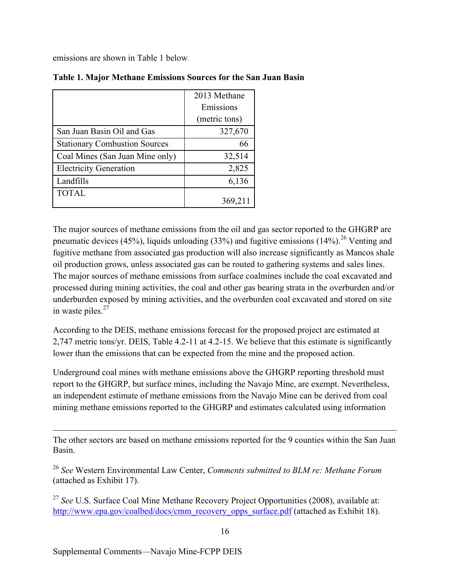emissions are shown in Table 1 below.

|                                      | 2013 Methane  |
|--------------------------------------|---------------|
|                                      | Emissions     |
|                                      | (metric tons) |
| San Juan Basin Oil and Gas           | 327,670       |
| <b>Stationary Combustion Sources</b> | 66            |
| Coal Mines (San Juan Mine only)      | 32,514        |
| <b>Electricity Generation</b>        | 2,825         |
| Landfills                            | 6,136         |
| <b>TOTAL</b>                         |               |
|                                      | 369,211       |

#### **Table 1. Major Methane Emissions Sources for the San Juan Basin**

The major sources of methane emissions from the oil and gas sector reported to the GHGRP are pneumatic devices (45%), liquids unloading (33%) and fugitive emissions (14%).<sup>26</sup> Venting and fugitive methane from associated gas production will also increase significantly as Mancos shale oil production grows, unless associated gas can be routed to gathering systems and sales lines. The major sources of methane emissions from surface coalmines include the coal excavated and processed during mining activities, the coal and other gas bearing strata in the overburden and/or underburden exposed by mining activities, and the overburden coal excavated and stored on site in waste piles. $27$ 

According to the DEIS, methane emissions forecast for the proposed project are estimated at 2,747 metric tons/yr. DEIS, Table 4.2-11 at 4.2-15. We believe that this estimate is significantly lower than the emissions that can be expected from the mine and the proposed action.

Underground coal mines with methane emissions above the GHGRP reporting threshold must report to the GHGRP, but surface mines, including the Navajo Mine, are exempt. Nevertheless, an independent estimate of methane emissions from the Navajo Mine can be derived from coal mining methane emissions reported to the GHGRP and estimates calculated using information

 $\overline{a}$ The other sectors are based on methane emissions reported for the 9 counties within the San Juan Basin.

<sup>26</sup> *See* Western Environmental Law Center, *Comments submitted to BLM re: Methane Forum*  (attached as Exhibit 17).

<sup>27</sup> *See* U.S. Surface Coal Mine Methane Recovery Project Opportunities (2008), available at: http://www.epa.gov/coalbed/docs/cmm\_recovery\_opps\_surface.pdf (attached as Exhibit 18).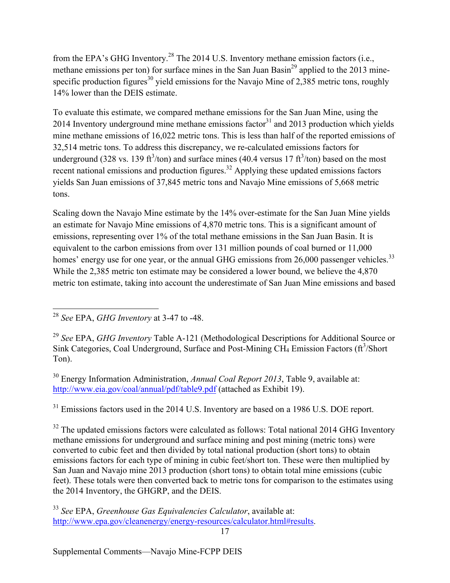from the EPA's GHG Inventory.<sup>28</sup> The 2014 U.S. Inventory methane emission factors (i.e., methane emissions per ton) for surface mines in the San Juan Basin<sup>29</sup> applied to the 2013 minespecific production figures<sup>30</sup> yield emissions for the Navajo Mine of 2,385 metric tons, roughly 14% lower than the DEIS estimate.

To evaluate this estimate, we compared methane emissions for the San Juan Mine, using the 2014 Inventory underground mine methane emissions factor<sup>31</sup> and 2013 production which yields mine methane emissions of 16,022 metric tons. This is less than half of the reported emissions of 32,514 metric tons. To address this discrepancy, we re-calculated emissions factors for underground (328 vs. 139 ft<sup>3</sup>/ton) and surface mines (40.4 versus 17 ft<sup>3</sup>/ton) based on the most recent national emissions and production figures.<sup>32</sup> Applying these updated emissions factors yields San Juan emissions of 37,845 metric tons and Navajo Mine emissions of 5,668 metric tons.

Scaling down the Navajo Mine estimate by the 14% over-estimate for the San Juan Mine yields an estimate for Navajo Mine emissions of 4,870 metric tons. This is a significant amount of emissions, representing over 1% of the total methane emissions in the San Juan Basin. It is equivalent to the carbon emissions from over 131 million pounds of coal burned or 11,000 homes' energy use for one year, or the annual GHG emissions from 26,000 passenger vehicles.<sup>33</sup> While the 2,385 metric ton estimate may be considered a lower bound, we believe the 4,870 metric ton estimate, taking into account the underestimate of San Juan Mine emissions and based

<sup>30</sup> Energy Information Administration, *Annual Coal Report 2013*, Table 9, available at: http://www.eia.gov/coal/annual/pdf/table9.pdf (attached as Exhibit 19).

<sup>31</sup> Emissions factors used in the 2014 U.S. Inventory are based on a 1986 U.S. DOE report.

 $32$  The updated emissions factors were calculated as follows: Total national 2014 GHG Inventory methane emissions for underground and surface mining and post mining (metric tons) were converted to cubic feet and then divided by total national production (short tons) to obtain emissions factors for each type of mining in cubic feet/short ton. These were then multiplied by San Juan and Navajo mine 2013 production (short tons) to obtain total mine emissions (cubic feet). These totals were then converted back to metric tons for comparison to the estimates using the 2014 Inventory, the GHGRP, and the DEIS.

<sup>33</sup> *See* EPA, *Greenhouse Gas Equivalencies Calculator*, available at: http://www.epa.gov/cleanenergy/energy-resources/calculator.html#results.

 <sup>28</sup> *See* EPA, *GHG Inventory* at 3-47 to -48.

<sup>29</sup> *See* EPA, *GHG Inventory* Table A-121 (Methodological Descriptions for Additional Source or Sink Categories, Coal Underground, Surface and Post-Mining CH<sub>4</sub> Emission Factors (ft<sup>3</sup>/Short Ton).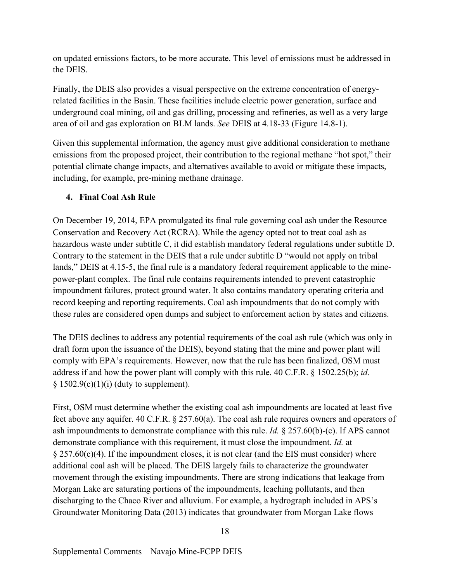on updated emissions factors, to be more accurate. This level of emissions must be addressed in the DEIS.

Finally, the DEIS also provides a visual perspective on the extreme concentration of energyrelated facilities in the Basin. These facilities include electric power generation, surface and underground coal mining, oil and gas drilling, processing and refineries, as well as a very large area of oil and gas exploration on BLM lands. *See* DEIS at 4.18-33 (Figure 14.8-1).

Given this supplemental information, the agency must give additional consideration to methane emissions from the proposed project, their contribution to the regional methane "hot spot," their potential climate change impacts, and alternatives available to avoid or mitigate these impacts, including, for example, pre-mining methane drainage.

## **4. Final Coal Ash Rule**

On December 19, 2014, EPA promulgated its final rule governing coal ash under the Resource Conservation and Recovery Act (RCRA). While the agency opted not to treat coal ash as hazardous waste under subtitle C, it did establish mandatory federal regulations under subtitle D. Contrary to the statement in the DEIS that a rule under subtitle D "would not apply on tribal lands," DEIS at 4.15-5, the final rule is a mandatory federal requirement applicable to the minepower-plant complex. The final rule contains requirements intended to prevent catastrophic impoundment failures, protect ground water. It also contains mandatory operating criteria and record keeping and reporting requirements. Coal ash impoundments that do not comply with these rules are considered open dumps and subject to enforcement action by states and citizens.

The DEIS declines to address any potential requirements of the coal ash rule (which was only in draft form upon the issuance of the DEIS), beyond stating that the mine and power plant will comply with EPA's requirements. However, now that the rule has been finalized, OSM must address if and how the power plant will comply with this rule. 40 C.F.R. § 1502.25(b); *id.*  $§ 1502.9(c)(1)(i)$  (duty to supplement).

First, OSM must determine whether the existing coal ash impoundments are located at least five feet above any aquifer. 40 C.F.R. § 257.60(a). The coal ash rule requires owners and operators of ash impoundments to demonstrate compliance with this rule. *Id.* § 257.60(b)-(c). If APS cannot demonstrate compliance with this requirement, it must close the impoundment. *Id.* at  $\S 257.60(c)(4)$ . If the impoundment closes, it is not clear (and the EIS must consider) where additional coal ash will be placed. The DEIS largely fails to characterize the groundwater movement through the existing impoundments. There are strong indications that leakage from Morgan Lake are saturating portions of the impoundments, leaching pollutants, and then discharging to the Chaco River and alluvium. For example, a hydrograph included in APS's Groundwater Monitoring Data (2013) indicates that groundwater from Morgan Lake flows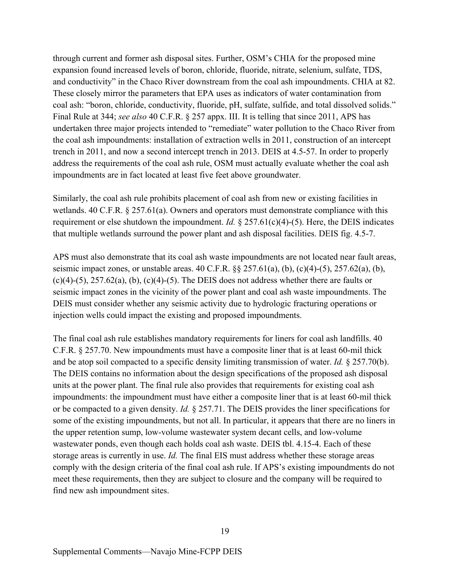through current and former ash disposal sites. Further, OSM's CHIA for the proposed mine expansion found increased levels of boron, chloride, fluoride, nitrate, selenium, sulfate, TDS, and conductivity" in the Chaco River downstream from the coal ash impoundments. CHIA at 82. These closely mirror the parameters that EPA uses as indicators of water contamination from coal ash: "boron, chloride, conductivity, fluoride, pH, sulfate, sulfide, and total dissolved solids." Final Rule at 344; *see also* 40 C.F.R. § 257 appx. III. It is telling that since 2011, APS has undertaken three major projects intended to "remediate" water pollution to the Chaco River from the coal ash impoundments: installation of extraction wells in 2011, construction of an intercept trench in 2011, and now a second intercept trench in 2013. DEIS at 4.5-57. In order to properly address the requirements of the coal ash rule, OSM must actually evaluate whether the coal ash impoundments are in fact located at least five feet above groundwater.

Similarly, the coal ash rule prohibits placement of coal ash from new or existing facilities in wetlands. 40 C.F.R. § 257.61(a). Owners and operators must demonstrate compliance with this requirement or else shutdown the impoundment. *Id.* § 257.61(c)(4)-(5). Here, the DEIS indicates that multiple wetlands surround the power plant and ash disposal facilities. DEIS fig. 4.5-7.

APS must also demonstrate that its coal ash waste impoundments are not located near fault areas, seismic impact zones, or unstable areas.  $40 \text{ C.F.R.}$   $\S § 257.61(a)$ , (b), (c)(4)-(5), 257.62(a), (b),  $(c)(4)-(5)$ ,  $257.62(a)$ ,  $(b)$ ,  $(c)(4)-(5)$ . The DEIS does not address whether there are faults or seismic impact zones in the vicinity of the power plant and coal ash waste impoundments. The DEIS must consider whether any seismic activity due to hydrologic fracturing operations or injection wells could impact the existing and proposed impoundments.

The final coal ash rule establishes mandatory requirements for liners for coal ash landfills. 40 C.F.R. § 257.70. New impoundments must have a composite liner that is at least 60-mil thick and be atop soil compacted to a specific density limiting transmission of water. *Id.* § 257.70(b). The DEIS contains no information about the design specifications of the proposed ash disposal units at the power plant. The final rule also provides that requirements for existing coal ash impoundments: the impoundment must have either a composite liner that is at least 60-mil thick or be compacted to a given density. *Id.* § 257.71. The DEIS provides the liner specifications for some of the existing impoundments, but not all. In particular, it appears that there are no liners in the upper retention sump, low-volume wastewater system decant cells, and low-volume wastewater ponds, even though each holds coal ash waste. DEIS tbl. 4.15-4. Each of these storage areas is currently in use. *Id.* The final EIS must address whether these storage areas comply with the design criteria of the final coal ash rule. If APS's existing impoundments do not meet these requirements, then they are subject to closure and the company will be required to find new ash impoundment sites.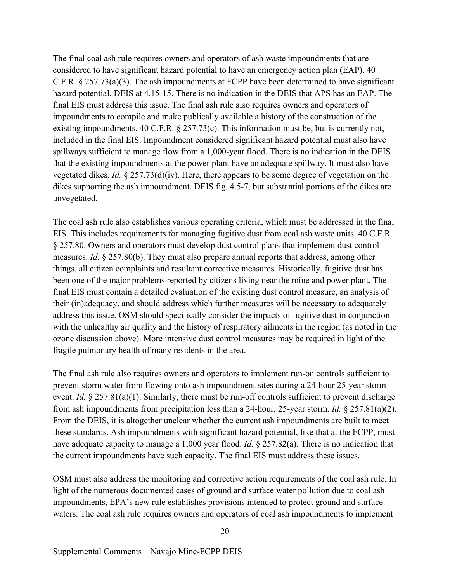The final coal ash rule requires owners and operators of ash waste impoundments that are considered to have significant hazard potential to have an emergency action plan (EAP). 40 C.F.R. § 257.73(a)(3). The ash impoundments at FCPP have been determined to have significant hazard potential. DEIS at 4.15-15. There is no indication in the DEIS that APS has an EAP. The final EIS must address this issue. The final ash rule also requires owners and operators of impoundments to compile and make publically available a history of the construction of the existing impoundments. 40 C.F.R. § 257.73(c). This information must be, but is currently not, included in the final EIS. Impoundment considered significant hazard potential must also have spillways sufficient to manage flow from a 1,000-year flood. There is no indication in the DEIS that the existing impoundments at the power plant have an adequate spillway. It must also have vegetated dikes. *Id.* § 257.73(d)(iv). Here, there appears to be some degree of vegetation on the dikes supporting the ash impoundment, DEIS fig. 4.5-7, but substantial portions of the dikes are unvegetated.

The coal ash rule also establishes various operating criteria, which must be addressed in the final EIS. This includes requirements for managing fugitive dust from coal ash waste units. 40 C.F.R. § 257.80. Owners and operators must develop dust control plans that implement dust control measures. *Id.* § 257.80(b). They must also prepare annual reports that address, among other things, all citizen complaints and resultant corrective measures. Historically, fugitive dust has been one of the major problems reported by citizens living near the mine and power plant. The final EIS must contain a detailed evaluation of the existing dust control measure, an analysis of their (in)adequacy, and should address which further measures will be necessary to adequately address this issue. OSM should specifically consider the impacts of fugitive dust in conjunction with the unhealthy air quality and the history of respiratory ailments in the region (as noted in the ozone discussion above). More intensive dust control measures may be required in light of the fragile pulmonary health of many residents in the area.

The final ash rule also requires owners and operators to implement run-on controls sufficient to prevent storm water from flowing onto ash impoundment sites during a 24-hour 25-year storm event. *Id.* § 257.81(a)(1). Similarly, there must be run-off controls sufficient to prevent discharge from ash impoundments from precipitation less than a 24-hour, 25-year storm. *Id.* § 257.81(a)(2). From the DEIS, it is altogether unclear whether the current ash impoundments are built to meet these standards. Ash impoundments with significant hazard potential, like that at the FCPP, must have adequate capacity to manage a 1,000 year flood. *Id.* § 257.82(a). There is no indication that the current impoundments have such capacity. The final EIS must address these issues.

OSM must also address the monitoring and corrective action requirements of the coal ash rule. In light of the numerous documented cases of ground and surface water pollution due to coal ash impoundments, EPA's new rule establishes provisions intended to protect ground and surface waters. The coal ash rule requires owners and operators of coal ash impoundments to implement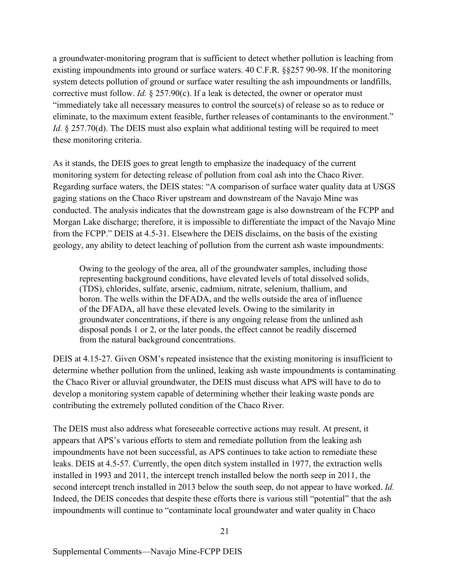a groundwater-monitoring program that is sufficient to detect whether pollution is leaching from existing impoundments into ground or surface waters. 40 C.F.R. §§257 90-98. If the monitoring system detects pollution of ground or surface water resulting the ash impoundments or landfills, corrective must follow. *Id.* § 257.90(c). If a leak is detected, the owner or operator must "immediately take all necessary measures to control the source(s) of release so as to reduce or eliminate, to the maximum extent feasible, further releases of contaminants to the environment." *Id.* § 257.70(d). The DEIS must also explain what additional testing will be required to meet these monitoring criteria.

As it stands, the DEIS goes to great length to emphasize the inadequacy of the current monitoring system for detecting release of pollution from coal ash into the Chaco River. Regarding surface waters, the DEIS states: "A comparison of surface water quality data at USGS gaging stations on the Chaco River upstream and downstream of the Navajo Mine was conducted. The analysis indicates that the downstream gage is also downstream of the FCPP and Morgan Lake discharge; therefore, it is impossible to differentiate the impact of the Navajo Mine from the FCPP." DEIS at 4.5-31. Elsewhere the DEIS disclaims, on the basis of the existing geology, any ability to detect leaching of pollution from the current ash waste impoundments:

Owing to the geology of the area, all of the groundwater samples, including those representing background conditions, have elevated levels of total dissolved solids, (TDS), chlorides, sulfate, arsenic, cadmium, nitrate, selenium, thallium, and boron. The wells within the DFADA, and the wells outside the area of influence of the DFADA, all have these elevated levels. Owing to the similarity in groundwater concentrations, if there is any ongoing release from the unlined ash disposal ponds 1 or 2, or the later ponds, the effect cannot be readily discerned from the natural background concentrations.

DEIS at 4.15-27. Given OSM's repeated insistence that the existing monitoring is insufficient to determine whether pollution from the unlined, leaking ash waste impoundments is contaminating the Chaco River or alluvial groundwater, the DEIS must discuss what APS will have to do to develop a monitoring system capable of determining whether their leaking waste ponds are contributing the extremely polluted condition of the Chaco River.

The DEIS must also address what foreseeable corrective actions may result. At present, it appears that APS's various efforts to stem and remediate pollution from the leaking ash impoundments have not been successful, as APS continues to take action to remediate these leaks. DEIS at 4.5-57. Currently, the open ditch system installed in 1977, the extraction wells installed in 1993 and 2011, the intercept trench installed below the north seep in 2011, the second intercept trench installed in 2013 below the south seep, do not appear to have worked. *Id.* Indeed, the DEIS concedes that despite these efforts there is various still "potential" that the ash impoundments will continue to "contaminate local groundwater and water quality in Chaco